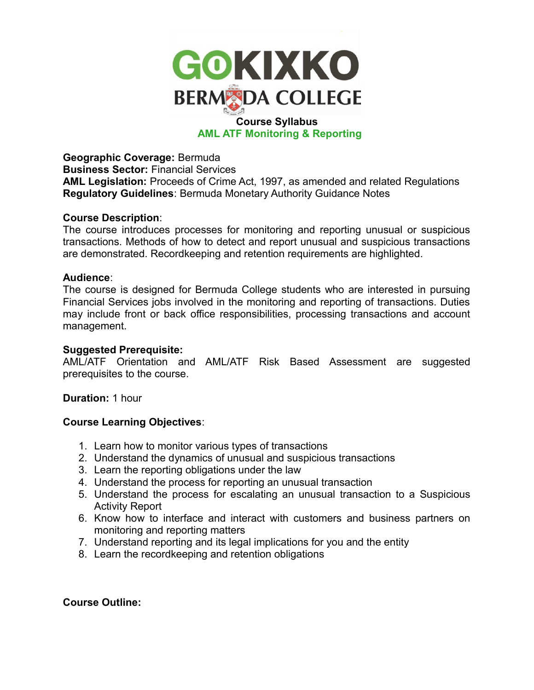

# **AML ATF Monitoring & Reporting**

**Geographic Coverage:** Bermuda **Business Sector:** Financial Services **AML Legislation:** Proceeds of Crime Act, 1997, as amended and related Regulations **Regulatory Guidelines**: Bermuda Monetary Authority Guidance Notes

## **Course Description**:

The course introduces processes for monitoring and reporting unusual or suspicious transactions. Methods of how to detect and report unusual and suspicious transactions are demonstrated. Recordkeeping and retention requirements are highlighted.

## **Audience**:

The course is designed for Bermuda College students who are interested in pursuing Financial Services jobs involved in the monitoring and reporting of transactions. Duties may include front or back office responsibilities, processing transactions and account management.

## **Suggested Prerequisite:**

AML/ATF Orientation and AML/ATF Risk Based Assessment are suggested prerequisites to the course.

# **Duration:** 1 hour

# **Course Learning Objectives**:

- 1. Learn how to monitor various types of transactions
- 2. Understand the dynamics of unusual and suspicious transactions
- 3. Learn the reporting obligations under the law
- 4. Understand the process for reporting an unusual transaction
- 5. Understand the process for escalating an unusual transaction to a Suspicious Activity Report
- 6. Know how to interface and interact with customers and business partners on monitoring and reporting matters
- 7. Understand reporting and its legal implications for you and the entity
- 8. Learn the recordkeeping and retention obligations

# **Course Outline:**